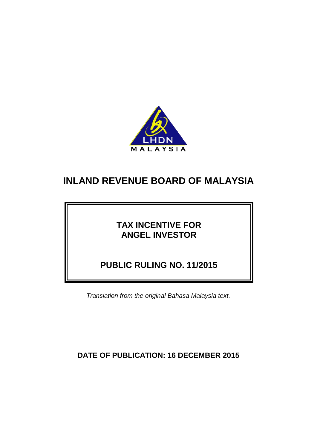

# **TAX INCENTIVE FOR ANGEL INVESTOR**

**PUBLIC RULING NO. 11/2015**

*Translation from the original Bahasa Malaysia text.*

**DATE OF PUBLICATION: 16 DECEMBER 2015**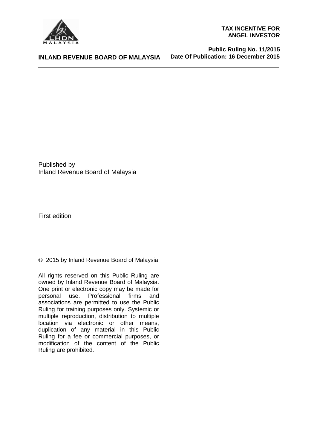

#### **TAX INCENTIVE FOR ANGEL INVESTOR**

**INLAND REVENUE BOARD OF MALAYSIA**

 **Public Ruling No. 11/2015 Date Of Publication: 16 December 2015**

Published by Inland Revenue Board of Malaysia

First edition

© 2015 by Inland Revenue Board of Malaysia

All rights reserved on this Public Ruling are owned by Inland Revenue Board of Malaysia. One print or electronic copy may be made for personal use. Professional firms and associations are permitted to use the Public Ruling for training purposes only. Systemic or multiple reproduction, distribution to multiple location via electronic or other means, duplication of any material in this Public Ruling for a fee or commercial purposes, or modification of the content of the Public Ruling are prohibited.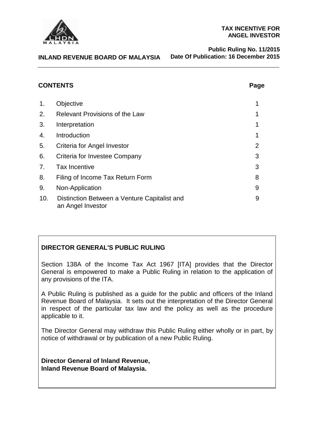

#### **TAX INCENTIVE FOR ANGEL INVESTOR**

**INLAND REVENUE BOARD OF MALAYSIA**

 **Public Ruling No. 11/2015 Date Of Publication: 16 December 2015**

# **CONTENTS Page**

| ×<br>v<br>×<br>× |
|------------------|
|------------------|

| 1.  | Objective                                                         |   |
|-----|-------------------------------------------------------------------|---|
| 2.  | <b>Relevant Provisions of the Law</b>                             |   |
| 3.  | Interpretation                                                    |   |
| 4.  | Introduction                                                      | 1 |
| 5.  | Criteria for Angel Investor                                       | 2 |
| 6.  | Criteria for Investee Company                                     | 3 |
| 7.  | <b>Tax Incentive</b>                                              | 3 |
| 8.  | Filing of Income Tax Return Form                                  | 8 |
| 9.  | Non-Application                                                   | 9 |
| 10. | Distinction Between a Venture Capitalist and<br>an Angel Investor | 9 |

# **DIRECTOR GENERAL'S PUBLIC RULING**

Section 138A of the Income Tax Act 1967 [ITA] provides that the Director General is empowered to make a Public Ruling in relation to the application of any provisions of the ITA.

A Public Ruling is published as a guide for the public and officers of the Inland Revenue Board of Malaysia. It sets out the interpretation of the Director General in respect of the particular tax law and the policy as well as the procedure applicable to it.

The Director General may withdraw this Public Ruling either wholly or in part, by notice of withdrawal or by publication of a new Public Ruling.

**Director General of Inland Revenue, Inland Revenue Board of Malaysia.**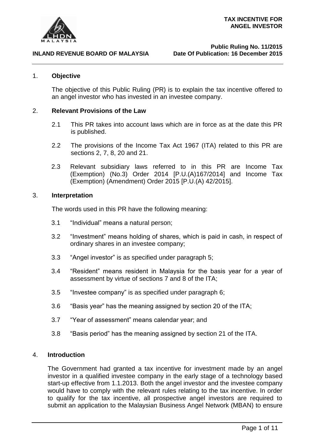

## 1. **Objective**

The objective of this Public Ruling (PR) is to explain the tax incentive offered to an angel investor who has invested in an investee company.

## 2. **Relevant Provisions of the Law**

- 2.1 This PR takes into account laws which are in force as at the date this PR is published.
- 2.2 The provisions of the Income Tax Act 1967 (ITA) related to this PR are sections 2, 7, 8, 20 and 21.
- 2.3 Relevant subsidiary laws referred to in this PR are Income Tax (Exemption) (No.3) Order 2014 [P.U.(A)167/2014] and Income Tax (Exemption) (Amendment) Order 2015 [P.U.(A) 42/2015].

## 3. **Interpretation**

The words used in this PR have the following meaning:

- 3.1 "Individual" means a natural person;
- 3.2 "Investment" means holding of shares, which is paid in cash, in respect of ordinary shares in an investee company;
- 3.3 "Angel investor" is as specified under paragraph 5;
- 3.4 "Resident" means resident in Malaysia for the basis year for a year of assessment by virtue of sections 7 and 8 of the ITA;
- 3.5 "Investee company" is as specified under paragraph 6;
- 3.6 "Basis year" has the meaning assigned by section 20 of the ITA;
- 3.7 "Year of assessment" means calendar year; and
- 3.8 "Basis period" has the meaning assigned by section 21 of the ITA.

## 4. **Introduction**

The Government had granted a tax incentive for investment made by an angel investor in a qualified investee company in the early stage of a technology based start-up effective from 1.1.2013. Both the angel investor and the investee company would have to comply with the relevant rules relating to the tax incentive. In order to qualify for the tax incentive, all prospective angel investors are required to submit an application to the Malaysian Business Angel Network (MBAN) to ensure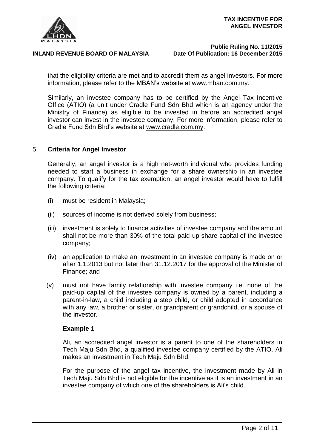

that the eligibility criteria are met and to accredit them as angel investors. For more information, please refer to the MBAN's website at [www.mban.com.my.](http://www.mban.com.my/)

Similarly, an investee company has to be certified by the Angel Tax Incentive Office (ATIO) (a unit under Cradle Fund Sdn Bhd which is an agency under the Ministry of Finance) as eligible to be invested in before an accredited angel investor can invest in the investee company. For more information, please refer to Cradle Fund Sdn Bhd's website at [www.cradle.com.my.](http://www.cradle.com.my/)

#### 5. **Criteria for Angel Investor**

Generally, an angel investor is a high net-worth individual who provides funding needed to start a business in exchange for a share ownership in an investee company. To qualify for the tax exemption, an angel investor would have to fulfill the following criteria:

- (i) must be resident in Malaysia;
- (ii) sources of income is not derived solely from business;
- (iii) investment is solely to finance activities of investee company and the amount shall not be more than 30% of the total paid-up share capital of the investee company;
- (iv) an application to make an investment in an investee company is made on or after 1.1.2013 but not later than 31.12.2017 for the approval of the Minister of Finance; and
- (v) must not have family relationship with investee company i.e. none of the paid-up capital of the investee company is owned by a parent, including a parent-in-law, a child including a step child, or child adopted in accordance with any law, a brother or sister, or grandparent or grandchild, or a spouse of the investor.

## **Example 1**

Ali, an accredited angel investor is a parent to one of the shareholders in Tech Maju Sdn Bhd, a qualified investee company certified by the ATIO. Ali makes an investment in Tech Maju Sdn Bhd.

For the purpose of the angel tax incentive, the investment made by Ali in Tech Maju Sdn Bhd is not eligible for the incentive as it is an investment in an investee company of which one of the shareholders is Ali's child.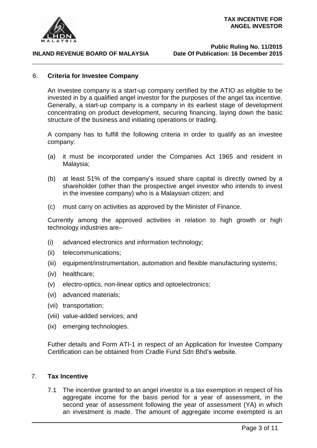

## 6. **Criteria for Investee Company**

An investee company is a start-up company certified by the ATIO as eligible to be invested in by a qualified angel investor for the purposes of the angel tax incentive. Generally, a start-up company is a company in its earliest stage of development concentrating on product development, securing financing, laying down the basic structure of the business and initiating operations or trading.

A company has to fulfill the following criteria in order to qualify as an investee company:

- (a) it must be incorporated under the Companies Act 1965 and resident in Malaysia;
- (b) at least 51% of the company's issued share capital is directly owned by a shareholder (other than the prospective angel investor who intends to invest in the investee company) who is a Malaysian citizen; and
- (c) must carry on activities as approved by the Minister of Finance.

Currently among the approved activities in relation to high growth or high technology industries are–

- (i) advanced electronics and information technology;
- (ii) telecommunications;
- (iii) equipment/instrumentation, automation and flexible manufacturing systems;
- (iv) healthcare;
- (v) electro-optics, non-linear optics and optoelectronics;
- (vi) advanced materials;
- (vii) transportation;
- (viii) value-added services; and
- (ix) emerging technologies.

Futher details and Form ATI-1 in respect of an Application for Investee Company Certification can be obtained from Cradle Fund Sdn Bhd's website.

## 7. **Tax Incentive**

7.1 The incentive granted to an angel investor is a tax exemption in respect of his aggregate income for the basis period for a year of assessment, in the second year of assessment following the year of assessment (YA) in which an investment is made. The amount of aggregate income exempted is an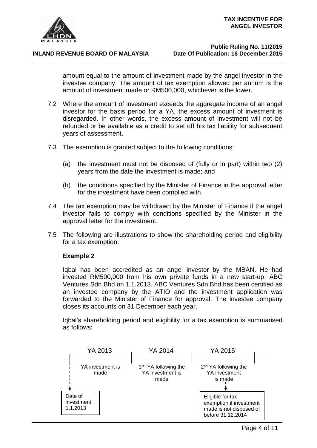

amount equal to the amount of investment made by the angel investor in the investee company. The amount of tax exemption allowed per annum is the amount of investment made or RM500,000, whichever is the lower.

- 7.2 Where the amount of investment exceeds the aggregate income of an angel investor for the basis period for a YA, the excess amount of invesment is disregarded. In other words, the excess amount of investment will not be refunded or be available as a credit to set off his tax liability for subsequent years of assessment.
- 7.3 The exemption is granted subject to the following conditions:
	- (a) the investment must not be disposed of (fully or in part) within two (2) years from the date the investment is made; and
	- (b) the conditions specified by the Minister of Finance in the approval letter for the investment have been complied with.
- 7.4 The tax exemption may be withdrawn by the Minister of Finance if the angel investor fails to comply with conditions specified by the Minister in the approval letter for the investment.
- 7.5 The following are illustrations to show the shareholding period and eligibility for a tax exemption:

## **Example 2**

Iqbal has been accredited as an angel investor by the MBAN. He had invested RM500,000 from his own private funds in a new start-up, ABC Ventures Sdn Bhd on 1.1.2013. ABC Ventures Sdn Bhd has been certified as an investee company by the ATIO and the investment application was forwarded to the Minister of Finance for approval. The investee company closes its accounts on 31 December each year.

Iqbal's shareholding period and eligibility for a tax exemption is summarised as follows:

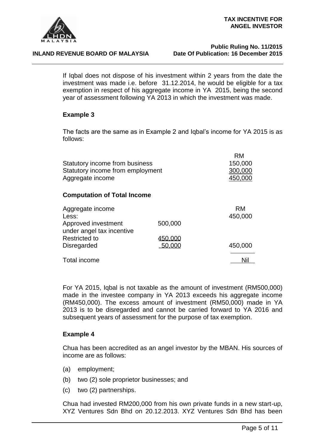

## **Public Ruling No. 11/2015 Date Of Publication: 16 December 2015**

If Iqbal does not dispose of his investment within 2 years from the date the investment was made i.e. before 31.12.2014, he would be eligible for a tax exemption in respect of his aggregate income in YA 2015, being the second year of assessment following YA 2013 in which the investment was made.

## **Example 3**

The facts are the same as in Example 2 and Iqbal's income for YA 2015 is as follows:

| Statutory income from business<br>Statutory income from employment<br>Aggregate income | <b>RM</b><br>150,000<br>300,000<br>450,000 |               |
|----------------------------------------------------------------------------------------|--------------------------------------------|---------------|
| <b>Computation of Total Income</b>                                                     |                                            |               |
| Aggregate income<br>Less:                                                              |                                            | RM<br>450,000 |
| Approved investment<br>under angel tax incentive                                       | 500,000                                    |               |
| <b>Restricted to</b>                                                                   | 450.000                                    |               |

Disregarded 50,000 450,000 Total income Nil

For YA 2015, Iqbal is not taxable as the amount of investment (RM500,000) made in the investee company in YA 2013 exceeds his aggregate income (RM450,000). The excess amount of investment (RM50,000) made in YA 2013 is to be disregarded and cannot be carried forward to YA 2016 and subsequent years of assessment for the purpose of tax exemption.

## **Example 4**

Chua has been accredited as an angel investor by the MBAN. His sources of income are as follows:

- (a) employment;
- (b) two (2) sole proprietor businesses; and
- (c) two (2) partnerships.

Chua had invested RM200,000 from his own private funds in a new start-up, XYZ Ventures Sdn Bhd on 20.12.2013. XYZ Ventures Sdn Bhd has been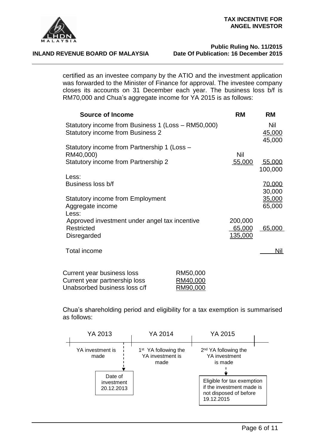

## **Public Ruling No. 11/2015 Date Of Publication: 16 December 2015**

certified as an investee company by the ATIO and the investment application was forwarded to the Minister of Finance for approval. The investee company closes its accounts on 31 December each year. The business loss b/f is RM70,000 and Chua's aggregate income for YA 2015 is as follows:

| <b>Source of Income</b>                                                                       |                                  | <b>RM</b>                    | <b>RM</b>               |
|-----------------------------------------------------------------------------------------------|----------------------------------|------------------------------|-------------------------|
| Statutory income from Business 1 (Loss - RM50,000)<br><b>Statutory income from Business 2</b> |                                  |                              | Nil<br>45,000           |
| Statutory income from Partnership 1 (Loss -<br>RM40,000)                                      |                                  | Nil                          | 45,000                  |
| Statutory income from Partnership 2                                                           |                                  | 55,000                       | 55,000<br>100,000       |
| Less:<br>Business loss b/f                                                                    |                                  |                              | <u>70,000</u><br>30,000 |
| <b>Statutory income from Employment</b><br>Aggregate income                                   |                                  |                              | 35,000<br>65,000        |
| Less:<br>Approved investment under angel tax incentive<br><b>Restricted</b><br>Disregarded    |                                  | 200,000<br>65,000<br>135,000 | 65,000                  |
| <b>Total income</b>                                                                           |                                  |                              | <u>Nil</u>              |
| Current year business loss<br>Current year partnership loss<br>Unabsorbed business loss c/f   | RM50,000<br>RM40,000<br>RM90,000 |                              |                         |

Chua's shareholding period and eligibility for a tax exemption is summarised as follows:

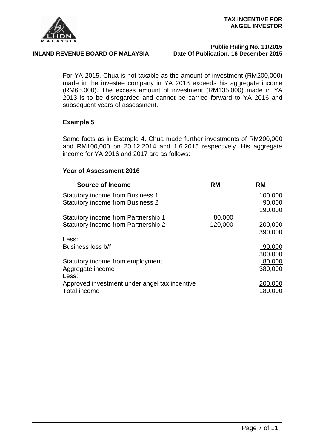

## **Public Ruling No. 11/2015 Date Of Publication: 16 December 2015**

For YA 2015, Chua is not taxable as the amount of investment (RM200,000) made in the investee company in YA 2013 exceeds his aggregate income (RM65,000). The excess amount of investment (RM135,000) made in YA 2013 is to be disregarded and cannot be carried forward to YA 2016 and subsequent years of assessment.

## **Example 5**

Same facts as in Example 4. Chua made further investments of RM200,000 and RM100,000 on 20.12.2014 and 1.6.2015 respectively. His aggregate income for YA 2016 and 2017 are as follows:

## **Year of Assessment 2016**

| <b>Source of Income</b>                       | <b>RM</b> | <b>RM</b> |
|-----------------------------------------------|-----------|-----------|
| <b>Statutory income from Business 1</b>       |           | 100,000   |
| <b>Statutory income from Business 2</b>       |           | 90.000    |
|                                               |           | 190,000   |
| <b>Statutory income from Partnership 1</b>    | 80,000    |           |
| <b>Statutory income from Partnership 2</b>    | 120,000   | 200,000   |
|                                               |           | 390,000   |
| Less:                                         |           |           |
| Business loss b/f                             |           | 90,000    |
|                                               |           | 300,000   |
| Statutory income from employment              |           | 80,000    |
| Aggregate income                              |           | 380,000   |
| Less:                                         |           |           |
| Approved investment under angel tax incentive |           | 200,000   |
| Total income                                  |           | 180,000   |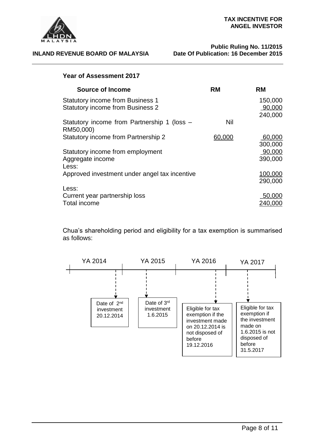

## **Year of Assessment 2017**

| <b>Source of Income</b>                                                            | RM     | <b>RM</b>                    |
|------------------------------------------------------------------------------------|--------|------------------------------|
| <b>Statutory income from Business 1</b><br><b>Statutory income from Business 2</b> |        | 150,000<br>90,000<br>240,000 |
| Statutory income from Partnership 1 (loss -<br>RM50,000)                           | Nil    |                              |
| <b>Statutory income from Partnership 2</b>                                         | 60,000 | 60,000<br>300,000            |
| Statutory income from employment<br>Aggregate income<br>Less:                      |        | 90,000<br>390,000            |
| Approved investment under angel tax incentive                                      |        | 100,000<br>290,000           |
| Less:<br>Current year partnership loss<br>Total income                             |        | 50,000<br>240.0              |

Chua's shareholding period and eligibility for a tax exemption is summarised as follows:

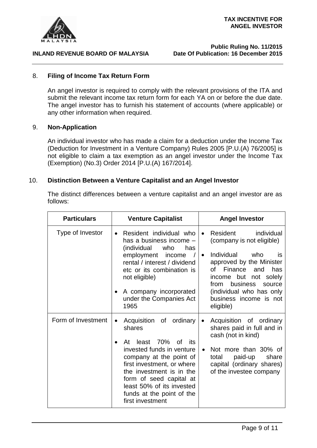

## **Public Ruling No. 11/2015 Date Of Publication: 16 December 2015**

## 8. **Filing of Income Tax Return Form**

An angel investor is required to comply with the relevant provisions of the ITA and submit the relevant income tax return form for each YA on or before the due date. The angel investor has to furnish his statement of accounts (where applicable) or any other information when required.

## 9. **Non-Application**

An individual investor who has made a claim for a deduction under the Income Tax (Deduction for Investment in a Venture Company) Rules 2005 [P.U.(A) 76/2005] is not eligible to claim a tax exemption as an angel investor under the Income Tax (Exemption) (No.3) Order 2014 [P.U.(A) 167/2014].

## 10. **Distinction Between a Venture Capitalist and an Angel Investor**

The distinct differences between a venture capitalist and an angel investor are as follows:

| <b>Particulars</b> | <b>Venture Capitalist</b>                                                                                                                                                                                                                                                                                               | <b>Angel Investor</b>                                                                                                                                                                                                                                                                                  |
|--------------------|-------------------------------------------------------------------------------------------------------------------------------------------------------------------------------------------------------------------------------------------------------------------------------------------------------------------------|--------------------------------------------------------------------------------------------------------------------------------------------------------------------------------------------------------------------------------------------------------------------------------------------------------|
| Type of Investor   | Resident individual who<br>$\bullet$<br>has a business income -<br>(individual<br>who<br>has<br>employment income<br>rental / interest / dividend<br>etc or its combination is<br>not eligible)<br>A company incorporated<br>$\bullet$<br>under the Companies Act<br>1965                                               | individual<br>Resident<br>$\bullet$<br>(company is not eligible)<br>Individual<br>who<br><b>is</b><br>$\bullet$<br>approved by the Minister<br>Finance<br>has<br>of l<br>and<br>income but not solely<br>business<br>from<br>source<br>(individual who has only<br>business income is not<br>eligible) |
| Form of Investment | Acquisition of ordinary<br>$\bullet$<br>shares<br>least 70%<br>At<br>of<br>its:<br>$\bullet$<br>invested funds in venture<br>company at the point of<br>first investment, or where<br>the investment is in the<br>form of seed capital at<br>least 50% of its invested<br>funds at the point of the<br>first investment | Acquisition of ordinary<br>$\bullet$<br>shares paid in full and in<br>cash (not in kind)<br>Not more than 30% of<br>$\bullet$<br>paid-up<br>total<br>share<br>capital (ordinary shares)<br>of the investee company                                                                                     |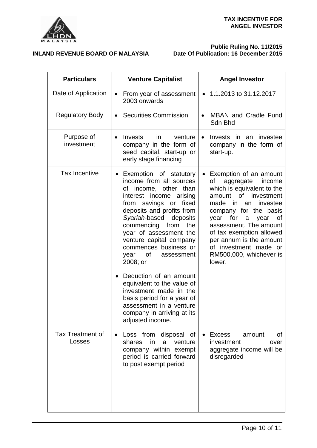

**Public Ruling No. 11/2015 Date Of Publication: 16 December 2015**

| <b>Particulars</b>                | <b>Venture Capitalist</b>                                                                                                                                                                                                                                                                                                                                                                                                                                                           | <b>Angel Investor</b>                                                                                                                                                                                                                                                                                                                               |  |
|-----------------------------------|-------------------------------------------------------------------------------------------------------------------------------------------------------------------------------------------------------------------------------------------------------------------------------------------------------------------------------------------------------------------------------------------------------------------------------------------------------------------------------------|-----------------------------------------------------------------------------------------------------------------------------------------------------------------------------------------------------------------------------------------------------------------------------------------------------------------------------------------------------|--|
| Date of Application               | From year of assessment<br>2003 onwards                                                                                                                                                                                                                                                                                                                                                                                                                                             | $\bullet$ 1.1.2013 to 31.12.2017                                                                                                                                                                                                                                                                                                                    |  |
| <b>Regulatory Body</b>            | <b>Securities Commission</b>                                                                                                                                                                                                                                                                                                                                                                                                                                                        | <b>MBAN</b> and Cradle Fund<br>Sdn Bhd                                                                                                                                                                                                                                                                                                              |  |
| Purpose of<br>investment          | Invests<br>in<br>venture<br>$\bullet$<br>company in the form of<br>seed capital, start-up or<br>early stage financing                                                                                                                                                                                                                                                                                                                                                               | Invests in an investee<br>$\bullet$<br>company in the form of<br>start-up.                                                                                                                                                                                                                                                                          |  |
| <b>Tax Incentive</b>              | Exemption of statutory<br>income from all sources<br>of income, other than<br>interest income arising<br>from savings or fixed<br>deposits and profits from<br>Syariah-based deposits<br>commencing<br>from<br>the<br>year of assessment the<br>venture capital company<br>commences business or<br>of<br>assessment<br>year<br>2008; or<br>Deduction of an amount<br>equivalent to the value of<br>investment made in the<br>basis period for a year of<br>assessment in a venture | Exemption of an amount<br>aggregate<br>income<br>οf<br>which is equivalent to the<br>amount of investment<br>made<br>in<br>investee<br>an<br>company for the basis<br>for<br>year<br>a<br>year<br>Οf<br>assessment. The amount<br>of tax exemption allowed<br>per annum is the amount<br>of investment made or<br>RM500,000, whichever is<br>lower. |  |
|                                   | company in arriving at its<br>adjusted income.                                                                                                                                                                                                                                                                                                                                                                                                                                      |                                                                                                                                                                                                                                                                                                                                                     |  |
| <b>Tax Treatment of</b><br>Losses | Loss from disposal of<br>shares<br>in<br>a<br>venture<br>company within exempt<br>period is carried forward<br>to post exempt period                                                                                                                                                                                                                                                                                                                                                | <b>Excess</b><br>οf<br>amount<br>investment<br>over<br>aggregate income will be<br>disregarded                                                                                                                                                                                                                                                      |  |